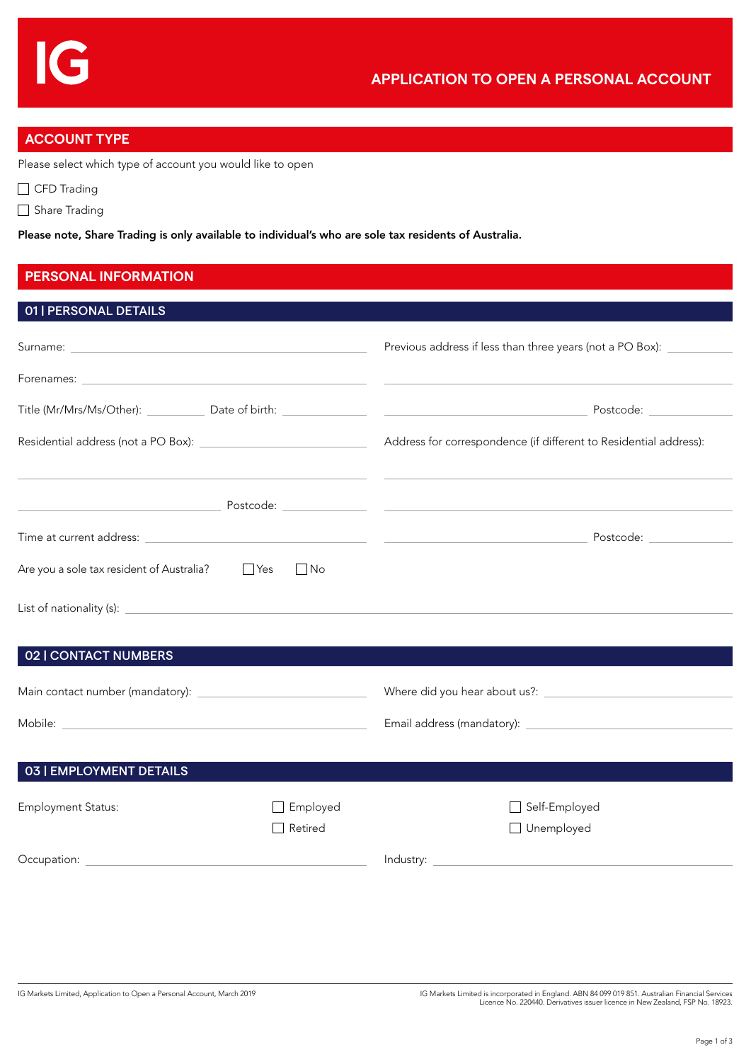## **ACCOUNT TYPE**

Please select which type of account you would like to open

□ CFD Trading

Share Trading

Please note, Share Trading is only available to individual's who are sole tax residents of Australia.

## **PERSONAL INFORMATION**

| 01   PERSONAL DETAILS                                                                                                   |                                                                   |
|-------------------------------------------------------------------------------------------------------------------------|-------------------------------------------------------------------|
|                                                                                                                         | Previous address if less than three years (not a PO Box):         |
|                                                                                                                         |                                                                   |
|                                                                                                                         |                                                                   |
|                                                                                                                         | Address for correspondence (if different to Residential address): |
|                                                                                                                         |                                                                   |
| <u> Andreas Andreas Andreas Andreas Andreas Andreas Andreas Andreas Andreas Andreas Andreas Andreas Andreas Andreas</u> |                                                                   |
|                                                                                                                         | Postcode:                                                         |
| Are you a sole tax resident of Australia? Playes<br>$\blacksquare$                                                      |                                                                   |
|                                                                                                                         |                                                                   |
|                                                                                                                         |                                                                   |

#### 02 | CONTACT NUMBERS

| Main contact number (mandatory): | Where did you hear about us?: |
|----------------------------------|-------------------------------|
| Mobile:                          | Email address (mandatory):    |

# 03 | EMPLOYMENT DETAILS Employment Status: and Self-Employed Employed Self-Employed □ Retired Unemployed Occupation: lndustry: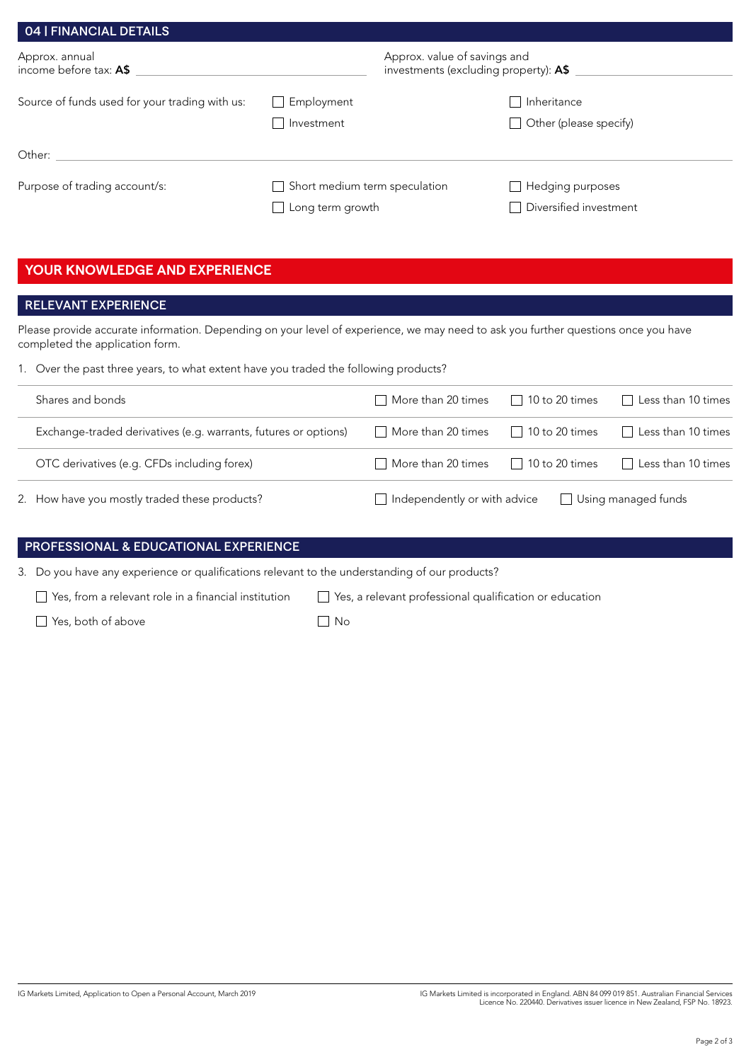| 04   FINANCIAL DETAILS                         |                                                          |                                                                       |  |
|------------------------------------------------|----------------------------------------------------------|-----------------------------------------------------------------------|--|
| Approx. annual<br>income before tax: A\$       |                                                          | Approx. value of savings and<br>investments (excluding property): A\$ |  |
| Source of funds used for your trading with us: | Employment<br>Investment                                 | Inheritance<br>Other (please specify)                                 |  |
| Other:                                         |                                                          |                                                                       |  |
| Purpose of trading account/s:                  | Short medium term speculation<br>$\Box$ Long term growth | $\Box$ Hedging purposes<br>Diversified investment                     |  |

## **YOUR KNOWLEDGE AND EXPERIENCE**

## RELEVANT EXPERIENCE

Please provide accurate information. Depending on your level of experience, we may need to ask you further questions once you have completed the application form.

1. Over the past three years, to what extent have you traded the following products?

| Shares and bonds                                                | More than 20 times                  | $\Box$ 10 to 20 times | Less than 10 times         |
|-----------------------------------------------------------------|-------------------------------------|-----------------------|----------------------------|
| Exchange-traded derivatives (e.g. warrants, futures or options) | More than 20 times                  | $\Box$ 10 to 20 times | Less than 10 times         |
| OTC derivatives (e.g. CFDs including forex)                     | More than 20 times                  | $\Box$ 10 to 20 times | $\Box$ Less than 10 times  |
| 2. How have you mostly traded these products?                   | $\Box$ Independently or with advice |                       | $\Box$ Using managed funds |

### PROFESSIONAL & EDUCATIONAL EXPERIENCE

3. Do you have any experience or qualifications relevant to the understanding of our products?

 $\Box$  Yes, both of above  $\Box$  No

Yes, from a relevant role in a financial institution Yes, a relevant professional qualification or education